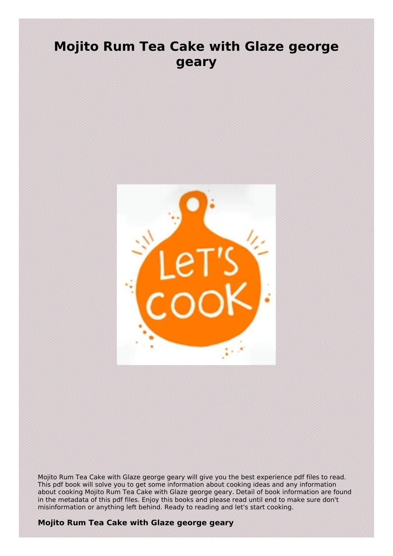## **Mojito Rum Tea Cake with Glaze george geary**



Mojito Rum Tea Cake with Glaze george geary will give you the best experience pdf files to read. This pdf book will solve you to get some information about cooking ideas and any information about cooking Mojito Rum Tea Cake with Glaze george geary. Detail of book information are found in the metadata of this pdf files. Enjoy this books and please read until end to make sure don't misinformation or anything left behind. Ready to reading and let's start cooking.

## **Mojito Rum Tea Cake with Glaze george geary**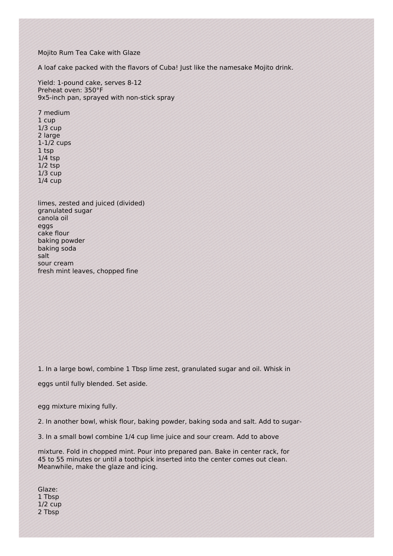Mojito Rum Tea Cake with Glaze

A loaf cake packed with the flavors of Cuba! Just like the namesake Mojito drink.

Yield: 1-pound cake, serves 8-12 Preheat oven: 350°F 9x5-inch pan, sprayed with non-stick spray

7 medium 1 cup 1/3 cup 2 large 1-1/2 cups 1 tsp 1/4 tsp 1/2 tsp 1/3 cup 1/4 cup

limes, zested and juiced (divided) granulated sugar canola oil eggs cake flour baking powder baking soda salt sour cream fresh mint leaves, chopped fine

1. In a large bowl, combine 1 Tbsp lime zest, granulated sugar and oil. Whisk in

eggs until fully blended. Set aside.

egg mixture mixing fully.

2. In another bowl, whisk flour, baking powder, baking soda and salt. Add to sugar-

3. In a small bowl combine 1/4 cup lime juice and sour cream. Add to above

mixture. Fold in chopped mint. Pour into prepared pan. Bake in center rack, for 45 to 55 minutes or until a toothpick inserted into the center comes out clean. Meanwhile, make the glaze and icing.

Glaze: 1 Tbsp 1/2 cup 2 Tbsp